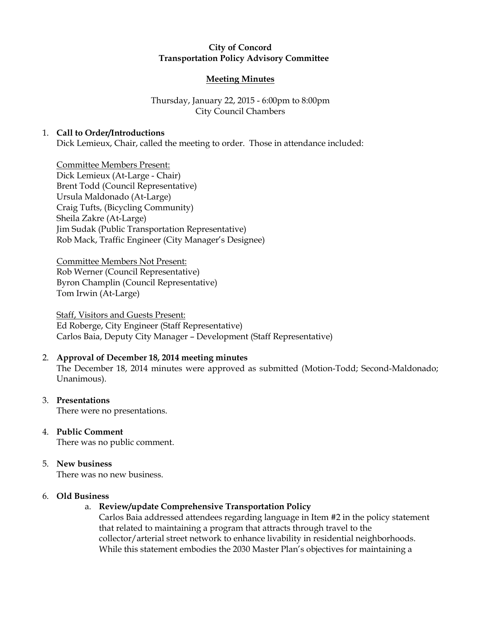# City of Concord Transportation Policy Advisory Committee

## Meeting Minutes

# Thursday, January 22, 2015 - 6:00pm to 8:00pm City Council Chambers

## 1. Call to Order/Introductions

Dick Lemieux, Chair, called the meeting to order. Those in attendance included:

Committee Members Present: Dick Lemieux (At-Large - Chair) Brent Todd (Council Representative) Ursula Maldonado (At-Large) Craig Tufts, (Bicycling Community) Sheila Zakre (At-Large) Jim Sudak (Public Transportation Representative) Rob Mack, Traffic Engineer (City Manager's Designee)

Committee Members Not Present: Rob Werner (Council Representative) Byron Champlin (Council Representative) Tom Irwin (At-Large)

Staff, Visitors and Guests Present: Ed Roberge, City Engineer (Staff Representative) Carlos Baia, Deputy City Manager – Development (Staff Representative)

#### 2. Approval of December 18, 2014 meeting minutes

The December 18, 2014 minutes were approved as submitted (Motion-Todd; Second-Maldonado; Unanimous).

#### 3. Presentations

There were no presentations.

# 4. Public Comment

There was no public comment.

# 5. New business

There was no new business.

#### 6. Old Business

# a. Review/update Comprehensive Transportation Policy

Carlos Baia addressed attendees regarding language in Item #2 in the policy statement that related to maintaining a program that attracts through travel to the collector/arterial street network to enhance livability in residential neighborhoods. While this statement embodies the 2030 Master Plan's objectives for maintaining a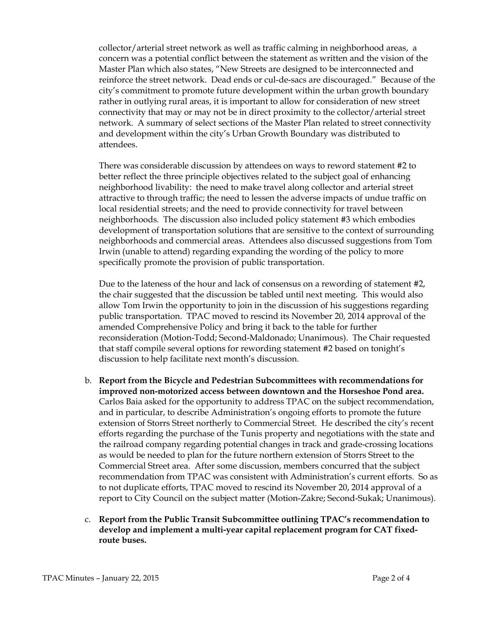collector/arterial street network as well as traffic calming in neighborhood areas, a concern was a potential conflict between the statement as written and the vision of the Master Plan which also states, "New Streets are designed to be interconnected and reinforce the street network. Dead ends or cul-de-sacs are discouraged." Because of the city's commitment to promote future development within the urban growth boundary rather in outlying rural areas, it is important to allow for consideration of new street connectivity that may or may not be in direct proximity to the collector/arterial street network. A summary of select sections of the Master Plan related to street connectivity and development within the city's Urban Growth Boundary was distributed to attendees.

There was considerable discussion by attendees on ways to reword statement #2 to better reflect the three principle objectives related to the subject goal of enhancing neighborhood livability: the need to make travel along collector and arterial street attractive to through traffic; the need to lessen the adverse impacts of undue traffic on local residential streets; and the need to provide connectivity for travel between neighborhoods. The discussion also included policy statement #3 which embodies development of transportation solutions that are sensitive to the context of surrounding neighborhoods and commercial areas. Attendees also discussed suggestions from Tom Irwin (unable to attend) regarding expanding the wording of the policy to more specifically promote the provision of public transportation.

Due to the lateness of the hour and lack of consensus on a rewording of statement #2, the chair suggested that the discussion be tabled until next meeting. This would also allow Tom Irwin the opportunity to join in the discussion of his suggestions regarding public transportation. TPAC moved to rescind its November 20, 2014 approval of the amended Comprehensive Policy and bring it back to the table for further reconsideration (Motion-Todd; Second-Maldonado; Unanimous). The Chair requested that staff compile several options for rewording statement #2 based on tonight's discussion to help facilitate next month's discussion.

- b. Report from the Bicycle and Pedestrian Subcommittees with recommendations for improved non-motorized access between downtown and the Horseshoe Pond area. Carlos Baia asked for the opportunity to address TPAC on the subject recommendation, and in particular, to describe Administration's ongoing efforts to promote the future extension of Storrs Street northerly to Commercial Street. He described the city's recent efforts regarding the purchase of the Tunis property and negotiations with the state and the railroad company regarding potential changes in track and grade-crossing locations as would be needed to plan for the future northern extension of Storrs Street to the Commercial Street area. After some discussion, members concurred that the subject recommendation from TPAC was consistent with Administration's current efforts. So as to not duplicate efforts, TPAC moved to rescind its November 20, 2014 approval of a report to City Council on the subject matter (Motion-Zakre; Second-Sukak; Unanimous).
- c. Report from the Public Transit Subcommittee outlining TPAC's recommendation to develop and implement a multi-year capital replacement program for CAT fixedroute buses.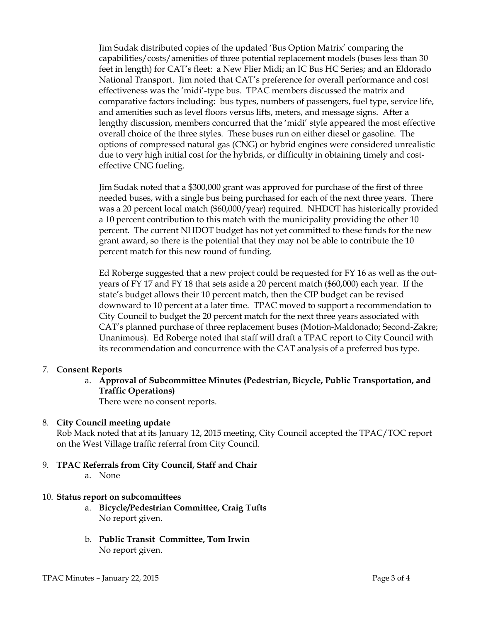Jim Sudak distributed copies of the updated 'Bus Option Matrix' comparing the capabilities/costs/amenities of three potential replacement models (buses less than 30 feet in length) for CAT's fleet: a New Flier Midi; an IC Bus HC Series; and an Eldorado National Transport. Jim noted that CAT's preference for overall performance and cost effectiveness was the 'midi'-type bus. TPAC members discussed the matrix and comparative factors including: bus types, numbers of passengers, fuel type, service life, and amenities such as level floors versus lifts, meters, and message signs. After a lengthy discussion, members concurred that the 'midi' style appeared the most effective overall choice of the three styles. These buses run on either diesel or gasoline. The options of compressed natural gas (CNG) or hybrid engines were considered unrealistic due to very high initial cost for the hybrids, or difficulty in obtaining timely and costeffective CNG fueling.

Jim Sudak noted that a \$300,000 grant was approved for purchase of the first of three needed buses, with a single bus being purchased for each of the next three years. There was a 20 percent local match (\$60,000/year) required. NHDOT has historically provided a 10 percent contribution to this match with the municipality providing the other 10 percent. The current NHDOT budget has not yet committed to these funds for the new grant award, so there is the potential that they may not be able to contribute the 10 percent match for this new round of funding.

Ed Roberge suggested that a new project could be requested for FY 16 as well as the outyears of FY 17 and FY 18 that sets aside a 20 percent match (\$60,000) each year. If the state's budget allows their 10 percent match, then the CIP budget can be revised downward to 10 percent at a later time. TPAC moved to support a recommendation to City Council to budget the 20 percent match for the next three years associated with CAT's planned purchase of three replacement buses (Motion-Maldonado; Second-Zakre; Unanimous). Ed Roberge noted that staff will draft a TPAC report to City Council with its recommendation and concurrence with the CAT analysis of a preferred bus type.

# 7. Consent Reports

a. Approval of Subcommittee Minutes (Pedestrian, Bicycle, Public Transportation, and Traffic Operations)

There were no consent reports.

# 8. City Council meeting update

Rob Mack noted that at its January 12, 2015 meeting, City Council accepted the TPAC/TOC report on the West Village traffic referral from City Council.

- 9. TPAC Referrals from City Council, Staff and Chair a. None
	-

### 10. Status report on subcommittees

- a. Bicycle/Pedestrian Committee, Craig Tufts No report given.
- b. Public Transit Committee, Tom Irwin No report given.